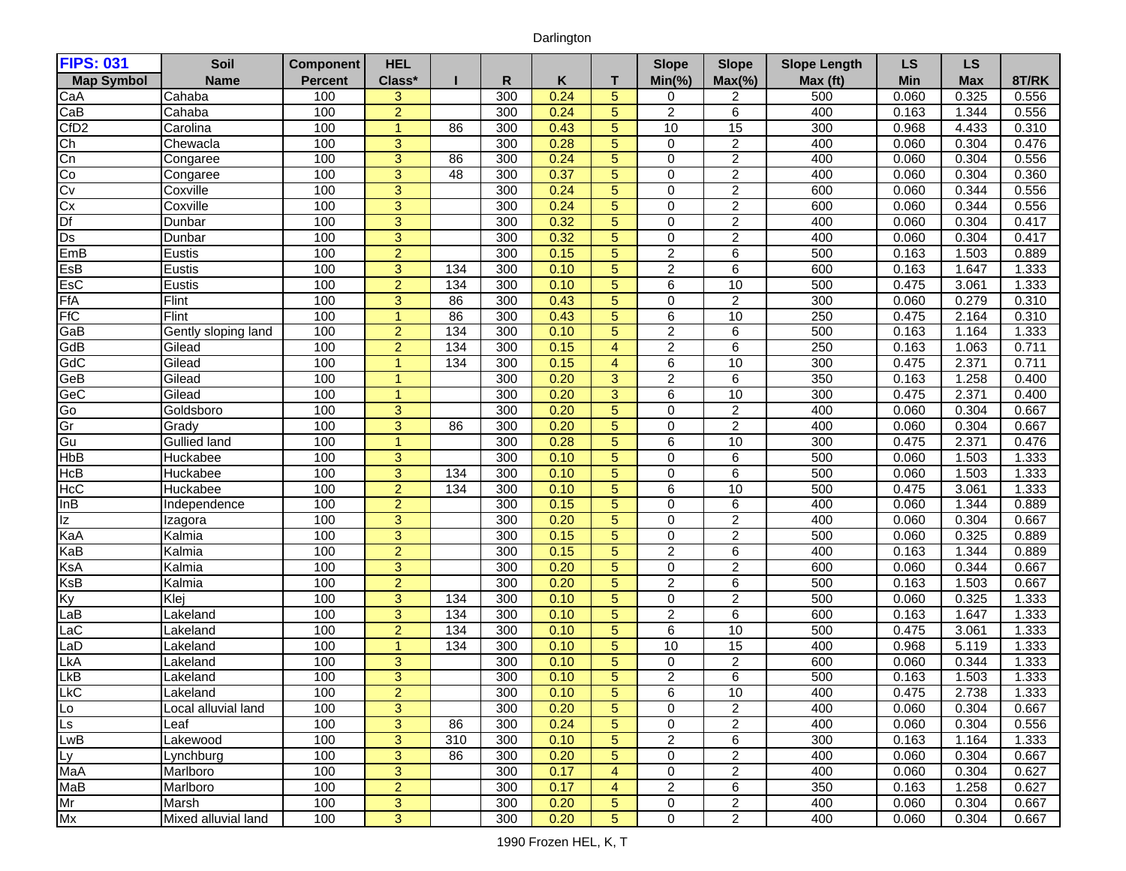## Darlington

| <b>FIPS: 031</b>             | Soil                | <b>Component</b> | <b>HEL</b>           |     |            |              |                | <b>Slope</b>                  | <b>Slope</b>                     | <b>Slope Length</b> | <b>LS</b>      | <b>LS</b>      |                |
|------------------------------|---------------------|------------------|----------------------|-----|------------|--------------|----------------|-------------------------------|----------------------------------|---------------------|----------------|----------------|----------------|
| <b>Map Symbol</b>            | <b>Name</b>         | <b>Percent</b>   | Class*               |     | R          | Κ            | т              | $Min(\% )$                    | $Max(\% )$                       | Max (ft)            | Min            | <b>Max</b>     | 8T/RK          |
| CaA                          | Cahaba              | 100              | 3                    |     | 300        | 0.24         | 5              | 0                             | 2                                | 500                 | 0.060          | 0.325          | 0.556          |
| CaB                          | Cahaba              | 100              | $\overline{2}$       |     | 300        | 0.24         | 5              | $\overline{c}$                | $\,6$                            | 400                 | 0.163          | 1.344          | 0.556          |
| CfD <sub>2</sub>             | Carolina            | 100              | $\blacktriangleleft$ | 86  | 300        | 0.43         | 5              | 10                            | 15                               | 300                 | 0.968          | 4.433          | 0.310          |
| Ch                           | Chewacla            | 100              | $\overline{3}$       |     | 300        | 0.28         | 5              | $\mathbf 0$                   | $\overline{2}$                   | 400                 | 0.060          | 0.304          | 0.476          |
| Cn                           | Congaree            | 100              | $\overline{3}$       | 86  | 300        | 0.24         | 5              | $\mathbf 0$                   | $\overline{2}$                   | 400                 | 0.060          | 0.304          | 0.556          |
| Co                           | Congaree            | 100              | $\overline{3}$       | 48  | 300        | 0.37         | 5              | $\mathbf 0$                   | $\overline{2}$                   | 400                 | 0.060          | 0.304          | 0.360          |
| Cv                           | Coxville            | 100              | 3                    |     | 300        | 0.24         | 5              | $\mathbf 0$                   | $\overline{c}$                   | 600                 | 0.060          | 0.344          | 0.556          |
| Cx                           | Coxville            | 100              | $\overline{3}$       |     | 300        | 0.24         | 5              | $\mathbf 0$                   | $\overline{2}$                   | 600                 | 0.060          | 0.344          | 0.556          |
| Df                           | Dunbar              | 100              | 3                    |     | 300        | 0.32         | 5              | $\mathbf 0$                   | $\overline{c}$                   | 400                 | 0.060          | 0.304          | 0.417          |
| Ds                           | Dunbar              | 100              | $\overline{3}$       |     | 300        | 0.32         | 5              | $\mathbf 0$                   | $\overline{2}$                   | 400                 | 0.060          | 0.304          | 0.417          |
| EmB                          | Eustis              | 100              | $\overline{2}$       |     | 300        | 0.15         | 5              | $\sqrt{2}$                    | $\,6$                            | 500                 | 0.163          | 1.503          | 0.889          |
| ESB                          | Eustis              | 100              | 3                    | 134 | 300        | 0.10         | 5              | $\overline{2}$                | 6                                | 600                 | 0.163          | 1.647          | 1.333          |
| EsC                          | Eustis              | 100              | $\overline{2}$       | 134 | 300        | 0.10         | 5              | 6                             | 10                               | 500                 | 0.475          | 3.061          | 1.333          |
| FfA                          | Flint               | 100              | 3                    | 86  | 300        | 0.43         | 5              | $\pmb{0}$                     | $\overline{2}$                   | 300                 | 0.060          | 0.279          | 0.310          |
| <b>FfC</b>                   | Flint               | 100              | $\overline{1}$       | 86  | 300        | 0.43         | 5              | $6\phantom{1}6$               | 10                               | 250                 | 0.475          | 2.164          | 0.310          |
| GaB                          | Gently sloping land | 100              | $\overline{2}$       | 134 | 300        | 0.10         | 5              | $\overline{c}$                | 6                                | 500                 | 0.163          | 1.164          | 1.333          |
| GdB                          | Gilead              | 100              | $\overline{2}$       | 134 | 300        | 0.15         | 4              | $\overline{2}$                | 6                                | 250                 | 0.163          | 1.063          | 0.711          |
| GdC                          | Gilead              | 100              |                      | 134 | 300        | 0.15         | 4              | 6                             | 10                               | 300                 | 0.475          | 2.371          | 0.711          |
| GeB                          | Gilead              | 100              |                      |     | 300        | 0.20         | 3              | $\overline{2}$                | $\overline{6}$                   | 350                 | 0.163          | 1.258          | 0.400          |
| GeC                          | Gilead              | 100              | 1                    |     | 300        | 0.20         | 3              | 6                             | 10                               | 300                 | 0.475          | 2.371          | 0.400          |
| Go                           | Goldsboro           | 100              | $\overline{3}$       |     | 300        | 0.20         | 5              | $\mathbf 0$                   | $\overline{2}$                   | 400                 | 0.060          | 0.304          | 0.667          |
| Gr                           | Grady               | 100              | $\overline{3}$       | 86  | 300        | 0.20         | 5              | $\mathbf 0$                   | $\overline{2}$                   | 400                 | 0.060          | 0.304          | 0.667          |
| Gu                           | <b>Gullied land</b> | 100              | $\mathbf{1}$         |     | 300        | 0.28         | 5              | 6                             | 10                               | 300                 | 0.475          | 2.371          | 0.476          |
| HbB                          | Huckabee            | 100              | 3                    |     | 300        | 0.10         | 5              | $\mathbf 0$                   | 6                                | 500                 | 0.060          | 1.503          | 1.333          |
| HcB                          | Huckabee            | 100              | $\overline{3}$       | 134 | 300        | 0.10         | 5              | $\mathbf 0$                   | $\,6\,$                          | 500                 | 0.060          | 1.503          | 1.333          |
| HcC                          | Huckabee            | 100              | $\overline{2}$       | 134 | 300        | 0.10         | 5              | 6                             | 10                               | 500                 | 0.475          | 3.061          | 1.333          |
| InB                          | Independence        | 100              | $\overline{2}$       |     | 300        | 0.15         | 5              | $\mathbf 0$                   | $\,6$                            | 400                 | 0.060          | 1.344          | 0.889          |
| z                            | Izagora             | 100              | $\overline{3}$       |     | 300        | 0.20         | 5              | $\Omega$                      | $\overline{2}$                   | 400                 | 0.060          | 0.304          | 0.667          |
| KaA                          | Kalmia              | 100              | $\overline{3}$       |     | 300        | 0.15         | 5              | $\mathbf 0$                   | $\overline{2}$                   | 500                 | 0.060          | 0.325          | 0.889          |
| KaB                          | Kalmia              | 100<br>100       | $\overline{2}$       |     | 300<br>300 | 0.15<br>0.20 | 5<br>5         | $\overline{2}$<br>$\mathbf 0$ | $\overline{6}$<br>$\overline{2}$ | 400<br>600          | 0.163          | 1.344          | 0.889<br>0.667 |
| KsA                          | Kalmia              | 100              | 3<br>$\overline{2}$  |     | 300        | 0.20         | 5              | $\overline{c}$                | $\,6$                            | 500                 | 0.060          | 0.344          |                |
| KsB<br>Ky                    | Kalmia<br>Klej      | 100              | $\overline{3}$       | 134 | 300        | 0.10         | 5              | $\mathbf 0$                   | $\overline{2}$                   | 500                 | 0.163<br>0.060 | 1.503<br>0.325 | 0.667<br>1.333 |
| LaB                          | Lakeland            | 100              | 3                    | 134 | 300        | 0.10         | 5              | $\overline{2}$                | 6                                | 600                 | 0.163          | 1.647          | 1.333          |
| LaC                          | Lakeland            | 100              | $\overline{2}$       | 134 | 300        | 0.10         | 5              | 6                             | 10                               | 500                 | 0.475          | 3.061          | 1.333          |
| LaD                          | Lakeland            | 100              | 1                    | 134 | 300        | 0.10         | 5              | 10                            | 15                               | 400                 | 0.968          | 5.119          | 1.333          |
| <b>LkA</b>                   | Lakeland            | 100              | 3                    |     | 300        | 0.10         | 5              | 0                             | $\overline{2}$                   | 600                 | 0.060          | 0.344          | 1.333          |
| <b>LkB</b>                   | Lakeland            | 100              | $\overline{3}$       |     | 300        | 0.10         | 5              | $\overline{2}$                | 6                                | 500                 | 0.163          | 1.503          | 1.333          |
| <b>LkC</b>                   | Lakeland            | 100              | $\overline{2}$       |     | 300        | 0.10         | $\overline{5}$ | $\overline{6}$                | 10                               | 400                 | 0.475          | 2.738          | 1.333          |
| $\overline{L_{\mathcal{O}}}$ | Local alluvial land | 100              | 3                    |     | 300        | 0.20         | 5              | $\Omega$                      | 2                                | 400                 | 0.060          | 0.304          | 0.667          |
| Ls                           | Leaf                | 100              | 3                    | 86  | 300        | 0.24         | 5              | 0                             | 2                                | 400                 | 0.060          | 0.304          | 0.556          |
| LwB                          | Lakewood            | 100              | 3                    | 310 | 300        | 0.10         | 5              | 2                             | 6                                | 300                 | 0.163          | 1.164          | 1.333          |
|                              | Lynchburg           | 100              | $\mathbf{3}$         | 86  | 300        | 0.20         | 5              | 0                             | $\overline{c}$                   | 400                 | 0.060          | 0.304          | 0.667          |
| Ly<br>MaA                    | Marlboro            | 100              | $\overline{3}$       |     | 300        | 0.17         | $\overline{4}$ | 0                             | $\overline{2}$                   | 400                 | 0.060          | 0.304          | 0.627          |
| MaB                          | Marlboro            | 100              | $\overline{2}$       |     | 300        | 0.17         | $\overline{4}$ | $\overline{2}$                | 6                                | 350                 | 0.163          | 1.258          | 0.627          |
| Mr                           | Marsh               | 100              | $\mathbf{3}$         |     | 300        | 0.20         | 5              | 0                             | $\overline{c}$                   | 400                 | 0.060          | 0.304          | 0.667          |
| Mx                           | Mixed alluvial land | 100              | $\overline{3}$       |     | 300        | 0.20         | 5              | $\mathbf 0$                   | $\overline{2}$                   | 400                 | 0.060          | 0.304          | 0.667          |